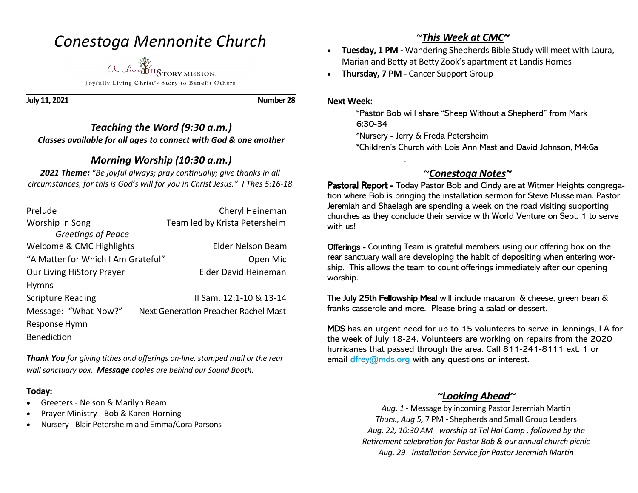## *Conestoga Mennonite Church*

*Our Living* HISTORY MISSION: Joyfully Living Christ's Story to Benefit Others

**July 11, 2021** Number 28

## *Teaching the Word (9:30 a.m.) Classes available for all ages to connect with God & one another*

## *Morning Worship (10:30 a.m.)*

*2021 Theme: "Be joyful always; pray continually; give thanks in all circumstances, for this is God's will for you in Christ Jesus." I Thes 5:16-18*

| Prelude                            | Cheryl Heineman                      |
|------------------------------------|--------------------------------------|
| Worship in Song                    | Team led by Krista Petersheim        |
| Greetings of Peace                 |                                      |
| Welcome & CMC Highlights           | Elder Nelson Beam                    |
| "A Matter for Which I Am Grateful" | Open Mic                             |
| Our Living HiStory Prayer          | Elder David Heineman                 |
| <b>Hymns</b>                       |                                      |
| <b>Scripture Reading</b>           | Il Sam. 12:1-10 & 13-14              |
| Message: "What Now?"               | Next Generation Preacher Rachel Mast |
| Response Hymn                      |                                      |
| Benediction                        |                                      |

*Thank You for giving tithes and offerings on-line, stamped mail or the rear wall sanctuary box. Message copies are behind our Sound Booth.*

### **Today:**

- Greeters Nelson & Marilyn Beam
- Prayer Ministry Bob & Karen Horning
- Nursery Blair Petersheim and Emma/Cora Parsons

## ~*This Week at CMC~*

- **Tuesday, 1 PM -** Wandering Shepherds Bible Study will meet with Laura, Marian and Betty at Betty Zook's apartment at Landis Homes
- **Thursday, 7 PM -** Cancer Support Group

#### **Next Week:**

.

 \*Pastor Bob will share "Sheep Without a Shepherd" from Mark 6:30-34

\*Nursery - Jerry & Freda Petersheim

\*Children's Church with Lois Ann Mast and David Johnson, M4:6a

## ~*Conestoga Notes~*

Pastoral Report - Today Pastor Bob and Cindy are at Witmer Heights congregation where Bob is bringing the installation sermon for Steve Musselman. Pastor Jeremiah and Shaelagh are spending a week on the road visiting supporting churches as they conclude their service with World Venture on Sept. 1 to serve with us!

Offerings - Counting Team is grateful members using our offering box on the rear sanctuary wall are developing the habit of depositing when entering worship. This allows the team to count offerings immediately after our opening worship.

The July 25th Fellowship Meal will include macaroni & cheese, green bean & franks casserole and more. Please bring a salad or dessert.

MDS has an urgent need for up to 15 volunteers to serve in Jennings, LA for the week of July 18-24. Volunteers are working on repairs from the 2020 hurricanes that passed through the area. Call 811-241-8111 ext. 1 or email  $d$ frey@mds.org with any questions or interest.

## *~Looking Ahead~*

*Aug. 1 -* Message by incoming Pastor Jeremiah Martin *Thurs., Aug 5,* 7 PM - Shepherds and Small Group Leaders *Aug. 22, 10:30 AM - worship at Tel Hai Camp , followed by the Retirement celebration for Pastor Bob & our annual church picnic Aug. 29 - Installation Service for Pastor Jeremiah Martin*